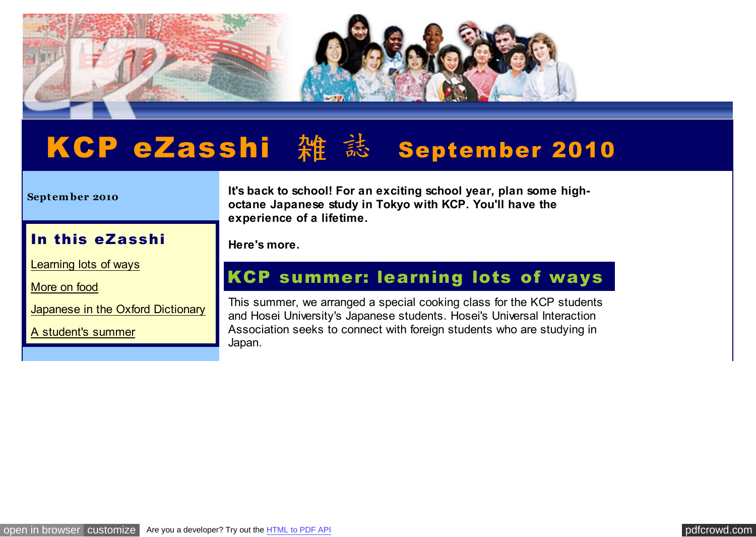

# KCP eZasshi 雑 誌 september 2010

#### **Sept em ber 2010**

#### **It's back to school! For an exciting school year, plan some highoctane Japanese study in Tokyo with KCP. You'll have the experience of a lifetime.**

### In this eZasshi

[Learning lots of ways](http://pdfcrowd.com/redirect/?url=http%3a%2f%2farchive.constantcontact.com%2ffs061%2f1102771164575%2farchive%2f1103630175201.html%23LETTER.BLOCK8&id=in-110620235744-b7c5f47c)

[More on food](http://pdfcrowd.com/redirect/?url=http%3a%2f%2farchive.constantcontact.com%2ffs061%2f1102771164575%2farchive%2f1103630175201.html%23LETTER.BLOCK7&id=in-110620235744-b7c5f47c)

[Japanese in the Oxford Dictionary](http://pdfcrowd.com/redirect/?url=http%3a%2f%2farchive.constantcontact.com%2ffs061%2f1102771164575%2farchive%2f1103630175201.html%23LETTER.BLOCK6&id=in-110620235744-b7c5f47c)

[A student's summer](http://pdfcrowd.com/redirect/?url=http%3a%2f%2farchive.constantcontact.com%2ffs061%2f1102771164575%2farchive%2f1103630175201.html%23LETTER.BLOCK19&id=in-110620235744-b7c5f47c)

**Here's more.**

## KCP summer: learning lots of ways

This summer, we arranged a special cooking class for the KCP students and Hosei University's Japanese students. Hosei's Universal Interaction Association seeks to connect with foreign students who are studying in Japan.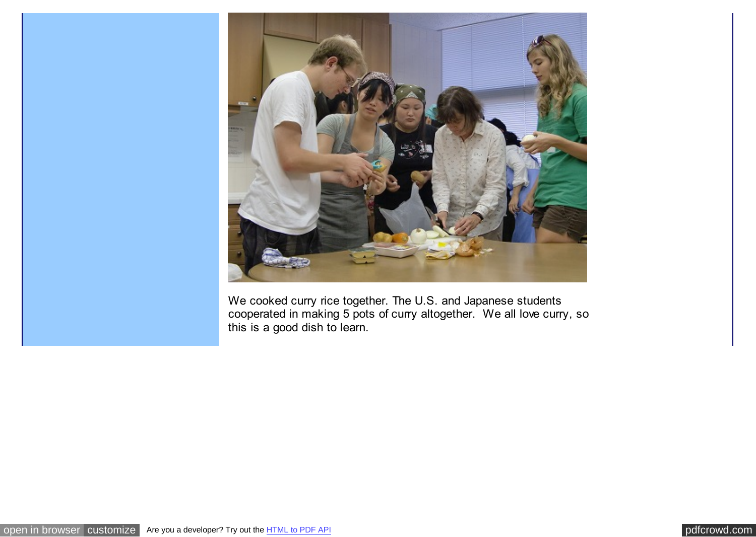

We cooked curry rice together. The U.S. and Japanese students cooperated in making 5 pots of curry altogether. We all love curry, so this is a good dish to learn.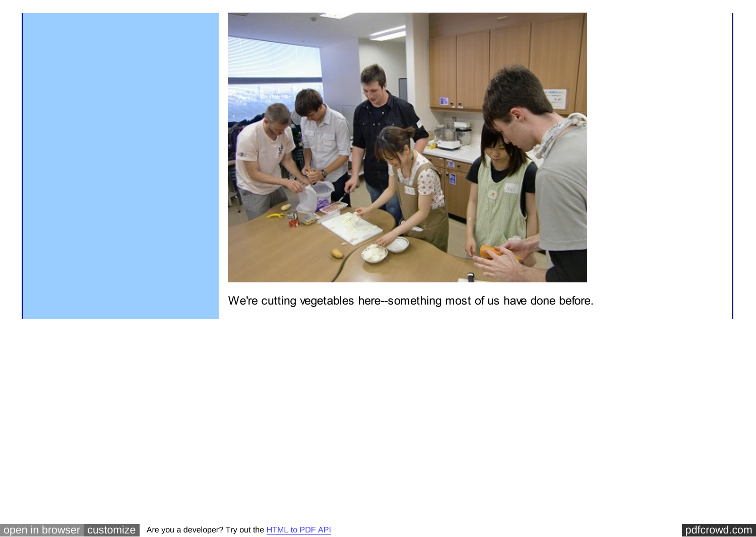

We're cutting vegetables here--something most of us have done before.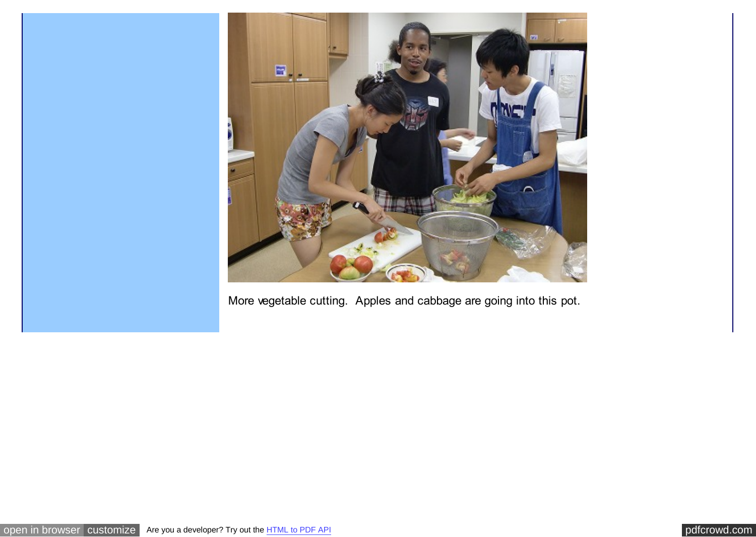

More vegetable cutting. Apples and cabbage are going into this pot.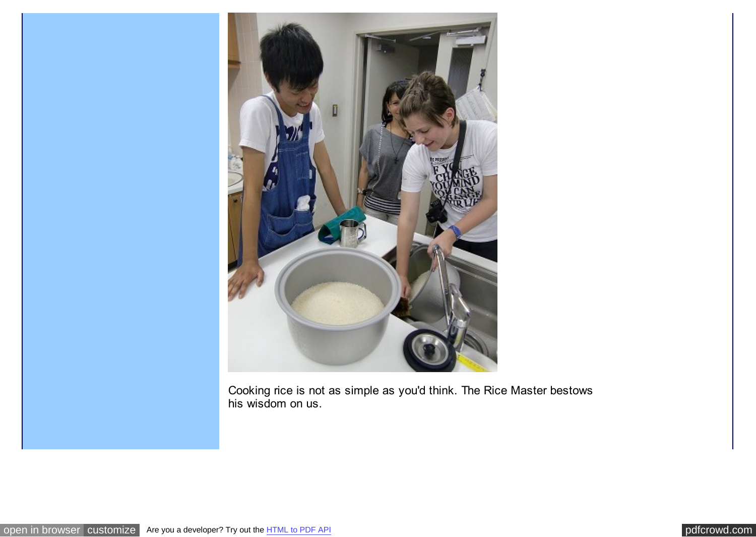

Cooking rice is not as simple as you'd think. The Rice Master bestows his wisdom on us.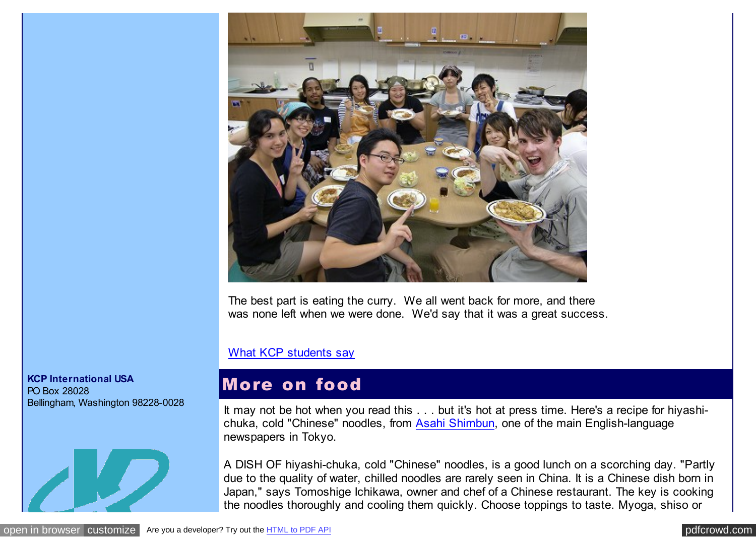

The best part is eating the curry. We all went back for more, and there was none left when we were done. We'd say that it was a great success.

#### [What KCP students say](http://pdfcrowd.com/redirect/?url=http%3a%2f%2fwww.kcpinternational.com%2flife%2fstudents_say.html&id=in-110620235744-b7c5f47c)

### More on food

It may not be hot when you read this . . . but it's hot at press time. Here's a recipe for hiyashichuka, cold "Chinese" noodles, from [Asahi Shimbun,](http://pdfcrowd.com/redirect/?url=http%3a%2f%2fwww.asahi.com%2fenglish%2f&id=in-110620235744-b7c5f47c) one of the main English-language newspapers in Tokyo.

A DISH OF hiyashi-chuka, cold "Chinese" noodles, is a good lunch on a scorching day. "Partly due to the quality of water, chilled noodles are rarely seen in China. It is a Chinese dish born in Japan," says Tomoshige Ichikawa, owner and chef of a Chinese restaurant. The key is cooking the noodles thoroughly and cooling them quickly. Choose toppings to taste. Myoga, shiso or

#### **KCP International USA** PO Box 28028 Bellingham, Washington 98228-0028

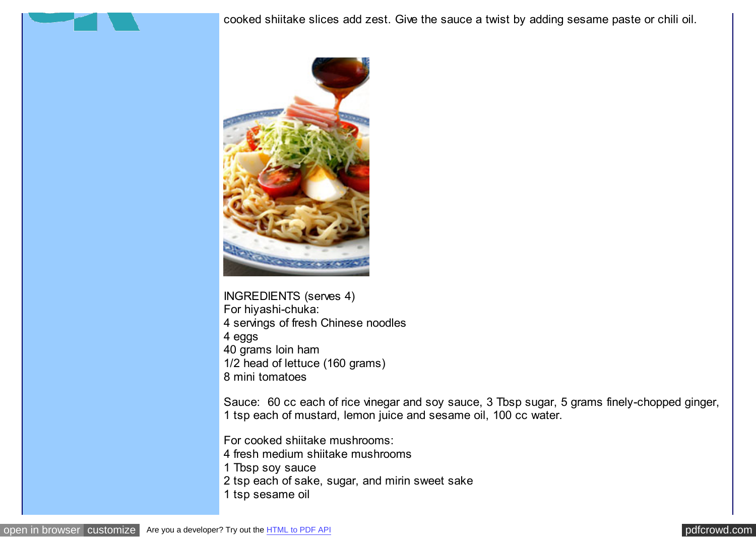cooked shiitake slices add zest. Give the sauce a twist by adding sesame paste or chili oil.



INGREDIENTS (serves 4) For hiyashi-chuka: 4 servings of fresh Chinese noodles 4 eggs 40 grams loin ham 1/2 head of lettuce (160 grams) 8 mini tomatoes

Sauce: 60 cc each of rice vinegar and soy sauce, 3 Tbsp sugar, 5 grams finely-chopped ginger, 1 tsp each of mustard, lemon juice and sesame oil, 100 cc water.

For cooked shiitake mushrooms:

4 fresh medium shiitake mushrooms

1 Tbsp soy sauce

2 tsp each of sake, sugar, and mirin sweet sake

1 tsp sesame oil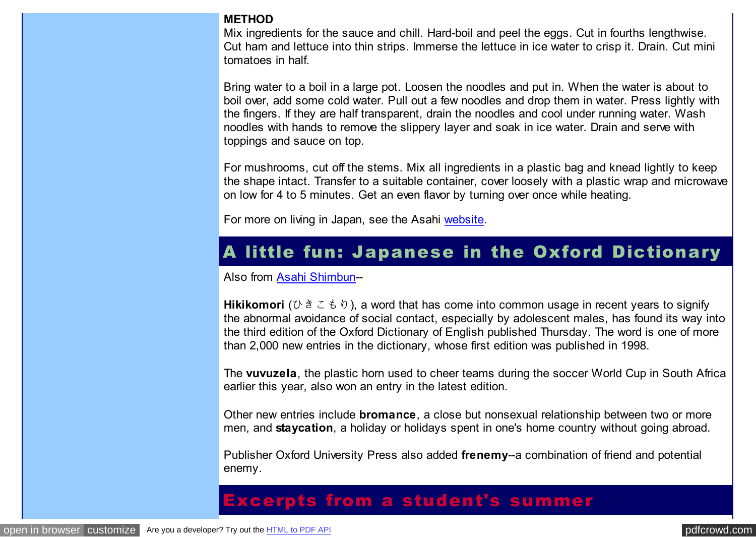#### **METHOD**

Mix ingredients for the sauce and chill. Hard-boil and peel the eggs. Cut in fourths lengthwise. Cut ham and lettuce into thin strips. Immerse the lettuce in ice water to crisp it. Drain. Cut mini tomatoes in half.

Bring water to a boil in a large pot. Loosen the noodles and put in. When the water is about to boil over, add some cold water. Pull out a few noodles and drop them in water. Press lightly with the fingers. If they are half transparent, drain the noodles and cool under running water. Wash noodles with hands to remove the slippery layer and soak in ice water. Drain and serve with toppings and sauce on top.

For mushrooms, cut off the stems. Mix all ingredients in a plastic bag and knead lightly to keep the shape intact. Transfer to a suitable container, cover loosely with a plastic wrap and microwave on low for 4 to 5 minutes. Get an even flavor by turning over once while heating.

For more on living in Japan, see the Asahi [website.](http://pdfcrowd.com/redirect/?url=http%3a%2f%2fwww.kcpinternational.com%2flife%2fliving.html&id=in-110620235744-b7c5f47c)

### A little fun: Japanese in the Oxford Dictionary

Also from [Asahi Shimbun-](http://pdfcrowd.com/redirect/?url=http%3a%2f%2fwww.asahi.com%2fenglish%2f&id=in-110620235744-b7c5f47c)-

**Hikikomori** (ひきこもり), a word that has come into common usage in recent years to signify the abnormal avoidance of social contact, especially by adolescent males, has found its way into the third edition of the Oxford Dictionary of English published Thursday. The word is one of more than 2,000 new entries in the dictionary, whose first edition was published in 1998.

The **vuvuzela**, the plastic horn used to cheer teams during the soccer World Cup in South Africa earlier this year, also won an entry in the latest edition.

Other new entries include **bromance**, a close but nonsexual relationship between two or more men, and **staycation**, a holiday or holidays spent in one's home country without going abroad.

Publisher Oxford University Press also added **frenemy**--a combination of friend and potential enemy.

### Excerpts from a student's summer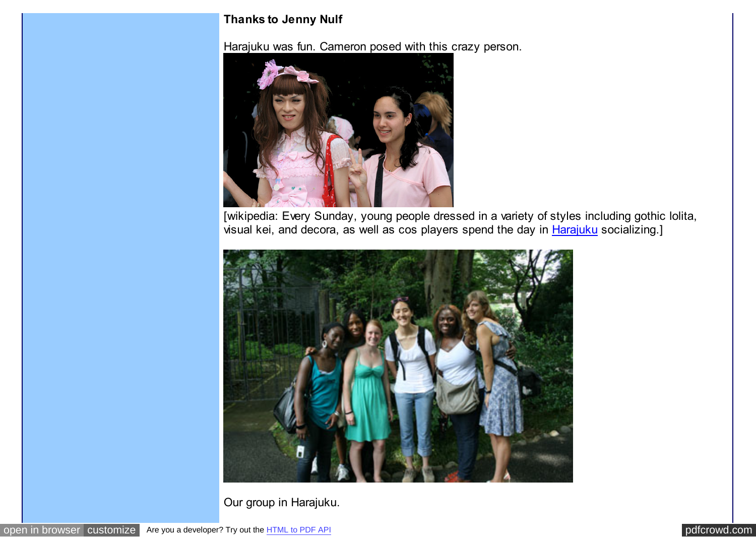#### **Thanks to Jenny Nulf**

Harajuku was fun. Cameron posed with this crazy person.



[wikipedia: Every Sunday, young people dressed in a variety of styles including gothic lolita, visual kei, and decora, as well as cos players spend the day in [Harajuku](http://pdfcrowd.com/redirect/?url=http%3a%2f%2fen.wikipedia.org%2fwiki%2fHarajuku&id=in-110620235744-b7c5f47c) socializing.]



Our group in Harajuku.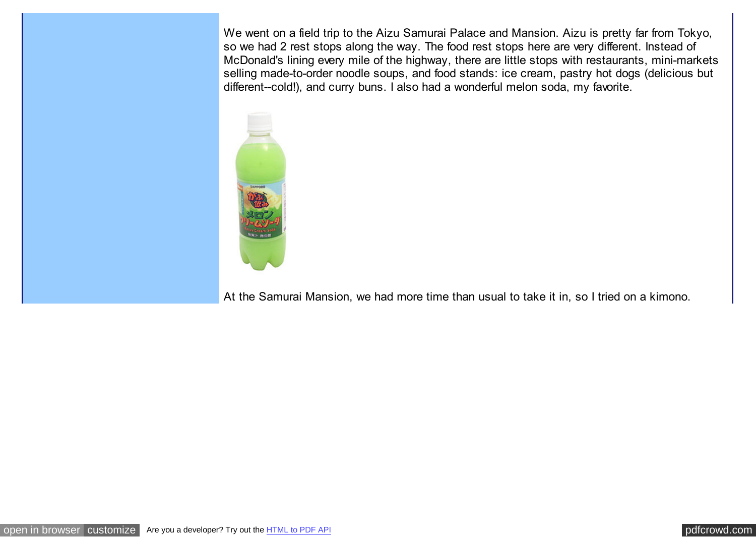We went on a field trip to the Aizu Samurai Palace and Mansion. Aizu is pretty far from Tokyo, so we had 2 rest stops along the way. The food rest stops here are very different. Instead of McDonald's lining every mile of the highway, there are little stops with restaurants, mini-markets selling made-to-order noodle soups, and food stands: ice cream, pastry hot dogs (delicious but different--cold!), and curry buns. I also had a wonderful melon soda, my favorite.



At the Samurai Mansion, we had more time than usual to take it in, so I tried on a kimono.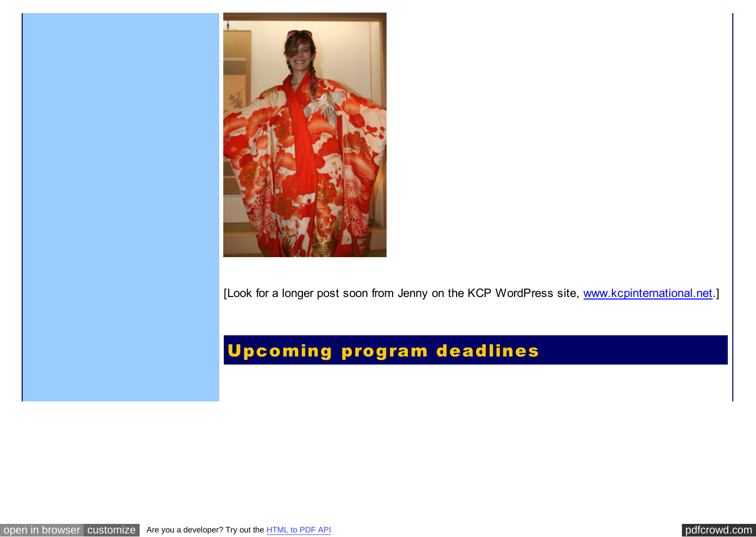

[Look for a longer post soon from Jenny on the KCP WordPress site, [www.kcpinternational.net.](http://pdfcrowd.com/redirect/?url=http%3a%2f%2fwww.kcpinternational.net%2f&id=in-110620235744-b7c5f47c)]

# Upcoming program deadlines

[open in browser](http://pdfcrowd.com/redirect/?url=http%3a%2f%2farchive.constantcontact.com%2ffs061%2f1102771164575%2farchive%2f1103630175201.html&id=ma-110620235744-b7c5f47c) [customize](http://pdfcrowd.com/customize/) Are you a developer? Try out th[e HTML to PDF API](http://pdfcrowd.com/html-to-pdf-api/?ref=pdf) [pdfcrowd.com](http://pdfcrowd.com)

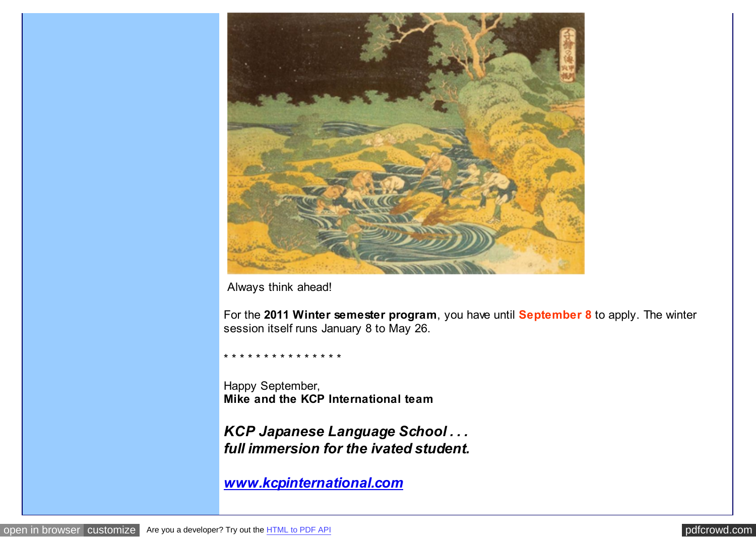

Always think ahead!

For the **2011 Winter semester program**, you have until **September 8** to apply. The winter session itself runs January 8 to May 26.

\* \* \* \* \* \* \* \* \* \* \* \* \* \* \*

Happy September, **Mike and the KCP International team**

*KCP Japanese Language School . . . full immersion for the ivated student.*

*[www.kcpinternational.com](http://pdfcrowd.com/redirect/?url=http%3a%2f%2fwww.kcpinternational.com%2f&id=in-110620235744-b7c5f47c)*